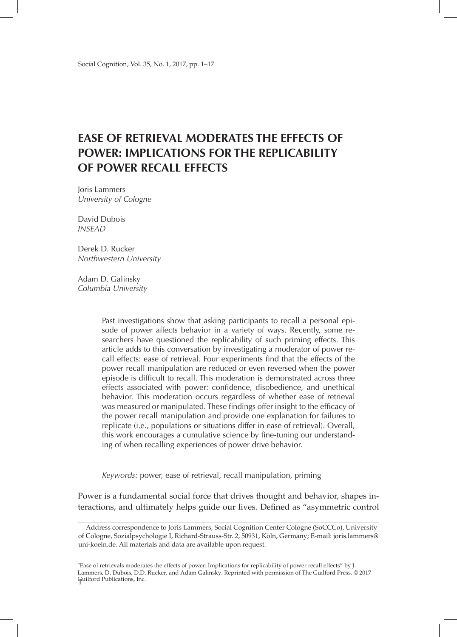# **EASE OF RETRIEVAL MODERATES THE EFFECTS OF POWER: IMPLICATIONS FOR THE REPLICABILITY OF POWER RECALL EFFECTS**

Joris Lammers *University of Cologne*

David Dubois *INSEAD*

Derek D. Rucker *Northwestern University*

Adam D. Galinsky *Columbia University*

> Past investigations show that asking participants to recall a personal episode of power affects behavior in a variety of ways. Recently, some researchers have questioned the replicability of such priming effects. This article adds to this conversation by investigating a moderator of power recall effects: ease of retrieval. Four experiments find that the effects of the power recall manipulation are reduced or even reversed when the power episode is difficult to recall. This moderation is demonstrated across three effects associated with power: confidence, disobedience, and unethical behavior. This moderation occurs regardless of whether ease of retrieval was measured or manipulated. These findings offer insight to the efficacy of the power recall manipulation and provide one explanation for failures to replicate (i.e., populations or situations differ in ease of retrieval). Overall, this work encourages a cumulative science by fine-tuning our understanding of when recalling experiences of power drive behavior.

*Keywords:* power, ease of retrieval, recall manipulation, priming

Power is a fundamental social force that drives thought and behavior, shapes interactions, and ultimately helps guide our lives. Defined as "asymmetric control

Address correspondence to Joris Lammers, Social Cognition Center Cologne (SoCCCo), University of Cologne, Sozialpsychologie I, Richard-Strauss-Str. 2, 50931, Köln, Germany; E-mail: joris.lammers@ uni-koeln.de. All materials and data are available upon request.

<sup>1</sup> Guilford Publications, Inc. "Ease of retrievals moderates the effects of power: Implications for replicability of power recall effects" by J. Lammers, D. Dubois, D.D. Rucker, and Adam Galinsky. Reprinted with permission of The Guilford Press. © 2017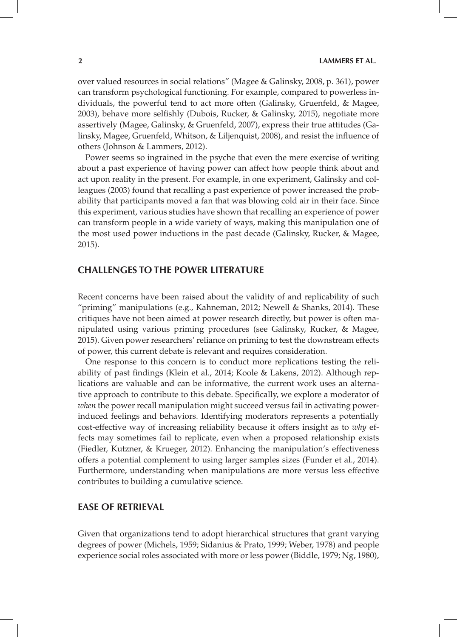over valued resources in social relations" (Magee & Galinsky, 2008, p. 361), power can transform psychological functioning. For example, compared to powerless individuals, the powerful tend to act more often (Galinsky, Gruenfeld, & Magee, 2003), behave more selfishly (Dubois, Rucker, & Galinsky, 2015), negotiate more assertively (Magee, Galinsky, & Gruenfeld, 2007), express their true attitudes (Galinsky, Magee, Gruenfeld, Whitson, & Liljenquist, 2008), and resist the influence of others (Johnson & Lammers, 2012).

Power seems so ingrained in the psyche that even the mere exercise of writing about a past experience of having power can affect how people think about and act upon reality in the present. For example, in one experiment, Galinsky and colleagues (2003) found that recalling a past experience of power increased the probability that participants moved a fan that was blowing cold air in their face. Since this experiment, various studies have shown that recalling an experience of power can transform people in a wide variety of ways, making this manipulation one of the most used power inductions in the past decade (Galinsky, Rucker, & Magee, 2015).

# **CHALLENGES TO THE POWER LITERATURE**

Recent concerns have been raised about the validity of and replicability of such "priming" manipulations (e.g., Kahneman, 2012; Newell & Shanks, 2014). These critiques have not been aimed at power research directly, but power is often manipulated using various priming procedures (see Galinsky, Rucker, & Magee, 2015). Given power researchers' reliance on priming to test the downstream effects of power, this current debate is relevant and requires consideration.

One response to this concern is to conduct more replications testing the reliability of past findings (Klein et al., 2014; Koole & Lakens, 2012). Although replications are valuable and can be informative, the current work uses an alternative approach to contribute to this debate. Specifically, we explore a moderator of *when* the power recall manipulation might succeed versus fail in activating powerinduced feelings and behaviors. Identifying moderators represents a potentially cost-effective way of increasing reliability because it offers insight as to *why* effects may sometimes fail to replicate, even when a proposed relationship exists (Fiedler, Kutzner, & Krueger, 2012). Enhancing the manipulation's effectiveness offers a potential complement to using larger samples sizes (Funder et al., 2014). Furthermore, understanding when manipulations are more versus less effective contributes to building a cumulative science.

## **EASE OF RETRIEVAL**

Given that organizations tend to adopt hierarchical structures that grant varying degrees of power (Michels, 1959; Sidanius & Prato, 1999; Weber, 1978) and people experience social roles associated with more or less power (Biddle, 1979; Ng, 1980),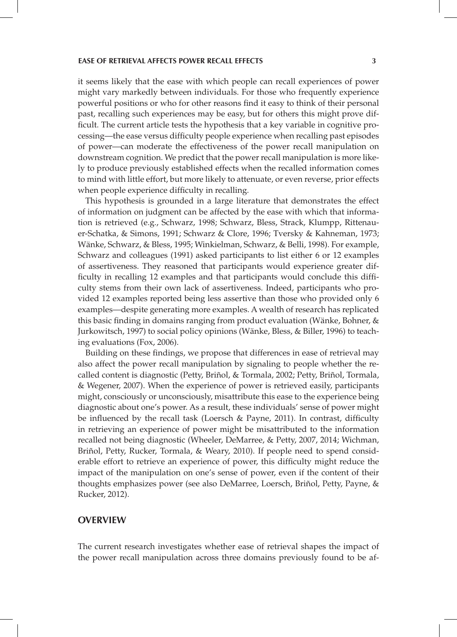it seems likely that the ease with which people can recall experiences of power might vary markedly between individuals. For those who frequently experience powerful positions or who for other reasons find it easy to think of their personal past, recalling such experiences may be easy, but for others this might prove difficult. The current article tests the hypothesis that a key variable in cognitive processing—the ease versus difficulty people experience when recalling past episodes of power—can moderate the effectiveness of the power recall manipulation on downstream cognition. We predict that the power recall manipulation is more likely to produce previously established effects when the recalled information comes to mind with little effort, but more likely to attenuate, or even reverse, prior effects when people experience difficulty in recalling.

This hypothesis is grounded in a large literature that demonstrates the effect of information on judgment can be affected by the ease with which that information is retrieved (e.g., Schwarz, 1998; Schwarz, Bless, Strack, Klumpp, Rittenauer-Schatka, & Simons, 1991; Schwarz & Clore, 1996; Tversky & Kahneman, 1973; Wänke, Schwarz, & Bless, 1995; Winkielman, Schwarz, & Belli, 1998). For example, Schwarz and colleagues (1991) asked participants to list either 6 or 12 examples of assertiveness. They reasoned that participants would experience greater difficulty in recalling 12 examples and that participants would conclude this difficulty stems from their own lack of assertiveness. Indeed, participants who provided 12 examples reported being less assertive than those who provided only 6 examples—despite generating more examples. A wealth of research has replicated this basic finding in domains ranging from product evaluation (Wänke, Bohner, & Jurkowitsch, 1997) to social policy opinions (Wänke, Bless, & Biller, 1996) to teaching evaluations (Fox, 2006).

Building on these findings, we propose that differences in ease of retrieval may also affect the power recall manipulation by signaling to people whether the recalled content is diagnostic (Petty, Briñol, & Tormala, 2002; Petty, Briñol, Tormala, & Wegener, 2007). When the experience of power is retrieved easily, participants might, consciously or unconsciously, misattribute this ease to the experience being diagnostic about one's power. As a result, these individuals' sense of power might be influenced by the recall task (Loersch & Payne, 2011). In contrast, difficulty in retrieving an experience of power might be misattributed to the information recalled not being diagnostic (Wheeler, DeMarree, & Petty, 2007, 2014; Wichman, Briñol, Petty, Rucker, Tormala, & Weary, 2010). If people need to spend considerable effort to retrieve an experience of power, this difficulty might reduce the impact of the manipulation on one's sense of power, even if the content of their thoughts emphasizes power (see also DeMarree, Loersch, Briñol, Petty, Payne, & Rucker, 2012).

## **OVERVIEW**

The current research investigates whether ease of retrieval shapes the impact of the power recall manipulation across three domains previously found to be af-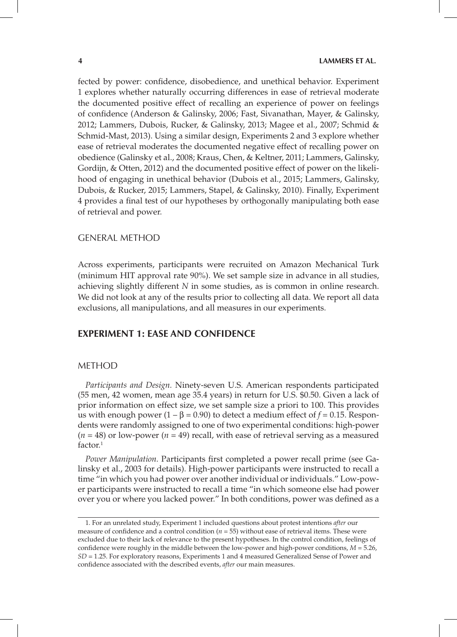fected by power: confidence, disobedience, and unethical behavior. Experiment 1 explores whether naturally occurring differences in ease of retrieval moderate the documented positive effect of recalling an experience of power on feelings of confidence (Anderson & Galinsky, 2006; Fast, Sivanathan, Mayer, & Galinsky, 2012; Lammers, Dubois, Rucker, & Galinsky, 2013; Magee et al., 2007; Schmid & Schmid-Mast, 2013). Using a similar design, Experiments 2 and 3 explore whether ease of retrieval moderates the documented negative effect of recalling power on obedience (Galinsky et al., 2008; Kraus, Chen, & Keltner, 2011; Lammers, Galinsky, Gordijn, & Otten, 2012) and the documented positive effect of power on the likelihood of engaging in unethical behavior (Dubois et al., 2015; Lammers, Galinsky, Dubois, & Rucker, 2015; Lammers, Stapel, & Galinsky, 2010). Finally, Experiment 4 provides a final test of our hypotheses by orthogonally manipulating both ease of retrieval and power.

#### GENERAL METHOD

Across experiments, participants were recruited on Amazon Mechanical Turk (minimum HIT approval rate 90%). We set sample size in advance in all studies, achieving slightly different *N* in some studies, as is common in online research. We did not look at any of the results prior to collecting all data. We report all data exclusions, all manipulations, and all measures in our experiments.

# **EXPERIMENT 1: EASE AND CONFIDENCE**

## METHOD

*Participants and Design.* Ninety-seven U.S. American respondents participated (55 men, 42 women, mean age 35.4 years) in return for U.S. \$0.50. Given a lack of prior information on effect size, we set sample size a priori to 100. This provides us with enough power  $(1 - \beta = 0.90)$  to detect a medium effect of  $f = 0.15$ . Respondents were randomly assigned to one of two experimental conditions: high-power  $(n = 48)$  or low-power  $(n = 49)$  recall, with ease of retrieval serving as a measured factor.<sup>1</sup>

*Power Manipulation.* Participants first completed a power recall prime (see Galinsky et al., 2003 for details). High-power participants were instructed to recall a time "in which you had power over another individual or individuals." Low-power participants were instructed to recall a time "in which someone else had power over you or where you lacked power." In both conditions, power was defined as a

<sup>1.</sup> For an unrelated study, Experiment 1 included questions about protest intentions *after* our measure of confidence and a control condition (*n* = 55) without ease of retrieval items. These were excluded due to their lack of relevance to the present hypotheses. In the control condition, feelings of confidence were roughly in the middle between the low-power and high-power conditions, *M* = 5.26, *SD* = 1.25. For exploratory reasons, Experiments 1 and 4 measured Generalized Sense of Power and confidence associated with the described events, *after* our main measures.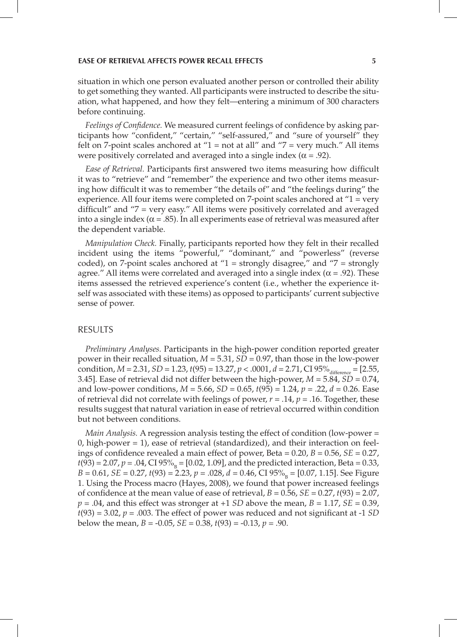situation in which one person evaluated another person or controlled their ability to get something they wanted. All participants were instructed to describe the situation, what happened, and how they felt—entering a minimum of 300 characters before continuing.

*Feelings of Confidence.* We measured current feelings of confidence by asking participants how "confident," "certain," "self-assured," and "sure of yourself" they felt on 7-point scales anchored at "1 = not at all" and "7 = very much." All items were positively correlated and averaged into a single index ( $\alpha$  = .92).

*Ease of Retrieval.* Participants first answered two items measuring how difficult it was to "retrieve" and "remember" the experience and two other items measuring how difficult it was to remember "the details of" and "the feelings during" the experience. All four items were completed on 7-point scales anchored at "1 = very difficult" and "7 = very easy." All items were positively correlated and averaged into a single index ( $\alpha$  = .85). In all experiments ease of retrieval was measured after the dependent variable.

*Manipulation Check.* Finally, participants reported how they felt in their recalled incident using the items "powerful," "dominant," and "powerless" (reverse coded), on 7-point scales anchored at "1 = strongly disagree," and "7 = strongly agree." All items were correlated and averaged into a single index ( $\alpha$  = .92). These items assessed the retrieved experience's content (i.e., whether the experience itself was associated with these items) as opposed to participants' current subjective sense of power.

#### RESULTS

*Preliminary Analyses.* Participants in the high-power condition reported greater power in their recalled situation, *M =* 5.31, *SD =* 0.97, than those in the low-power condition,  $M = 2.31$ ,  $SD = 1.23$ ,  $t(95) = 13.27$ ,  $p < .0001$ ,  $d = 2.71$ , CI  $95\%$ <sub>difference</sub> = [2.55, 3.45]. Ease of retrieval did not differ between the high-power,  $M = 5.84$ ,  $SD = 0.74$ , and low-power conditions, *M* = 5.66, *SD* = 0.65, *t*(95) = 1.24, *p =* .22, *d* = 0.26. Ease of retrieval did not correlate with feelings of power, *r* = .14, *p =* .16. Together, these results suggest that natural variation in ease of retrieval occurred within condition but not between conditions.

*Main Analysis.* A regression analysis testing the effect of condition (low-power =  $0$ , high-power = 1), ease of retrieval (standardized), and their interaction on feelings of confidence revealed a main effect of power, Beta  $= 0.20$ ,  $B = 0.56$ ,  $SE = 0.27$ ,  $t(93) = 2.07$ ,  $p = .04$ , CI  $95\%_{\text{B}} = [0.02, 1.09]$ , and the predicted interaction, Beta = 0.33, *B* = 0.61, *SE* = 0.27, *t*(93) = 2.23, *p* = .028, *d* = 0.46, CI 95%<sub>R</sub> = [0.07, 1.15]. See Figure 1. Using the Process macro (Hayes, 2008), we found that power increased feelings of confidence at the mean value of ease of retrieval,  $B = 0.56$ ,  $SE = 0.27$ ,  $t(93) = 2.07$ ,  $p = .04$ , and this effect was stronger at +1 *SD* above the mean,  $B = 1.17$ ,  $SE = 0.39$ ,  $t(93) = 3.02$ ,  $p = .003$ . The effect of power was reduced and not significant at -1 *SD* below the mean, *B* = -0.05, *SE* = 0.38, *t*(93) = -0.13, *p =* .90.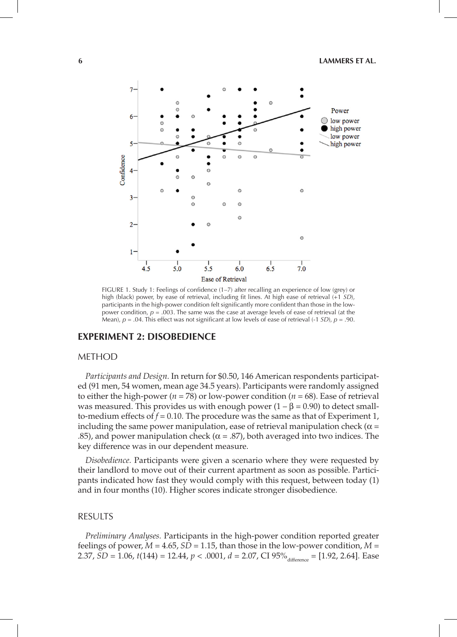

FIGURE 1. Study 1: Feelings of confidence (1–7) after recalling an experience of low (grey) or high (black) power, by ease of retrieval, including fit lines. At high ease of retrieval (+1 *SD*), participants in the high-power condition felt significantly more confident than those in the lowpower condition, *p =* .003. The same was the case at average levels of ease of retrieval (at the Mean), *p =* .04. This effect was not significant at low levels of ease of retrieval (-1 *SD*), *p =* .90.

#### **EXPERIMENT 2: DISOBEDIENCE**

#### METHOD

*Participants and Design.* In return for \$0.50, 146 American respondents participated (91 men, 54 women, mean age 34.5 years). Participants were randomly assigned to either the high-power ( $n = 78$ ) or low-power condition ( $n = 68$ ). Ease of retrieval was measured. This provides us with enough power  $(1 - \beta = 0.90)$  to detect smallto-medium effects of  $f = 0.10$ . The procedure was the same as that of Experiment 1, including the same power manipulation, ease of retrieval manipulation check ( $\alpha$  = .85), and power manipulation check ( $\alpha$  = .87), both averaged into two indices. The key difference was in our dependent measure.

*Disobedience.* Participants were given a scenario where they were requested by their landlord to move out of their current apartment as soon as possible. Participants indicated how fast they would comply with this request, between today (1) and in four months (10). Higher scores indicate stronger disobedience.

#### RESULTS

*Preliminary Analyses.* Participants in the high-power condition reported greater feelings of power,  $M = 4.65$ ,  $SD = 1.15$ , than those in the low-power condition,  $M =$ 2.37, *SD* = 1.06, *t*(144) = 12.44,  $p < .0001$ ,  $d = 2.07$ , CI 95%  $_{difference} = [1.92, 2.64]$ . Ease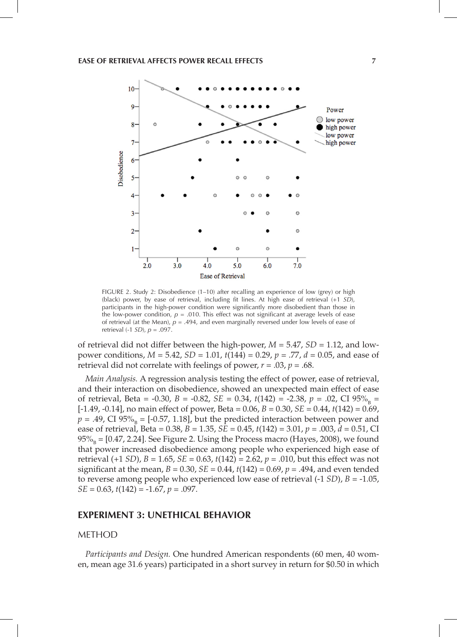

FIGURE 2. Study 2: Disobedience (1–10) after recalling an experience of low (grey) or high (black) power, by ease of retrieval, including fit lines. At high ease of retrieval (+1 *SD*), participants in the high-power condition were significantly more disobedient than those in the low-power condition, *p =* .010. This effect was not significant at average levels of ease of retrieval (at the Mean), *p =* .494, and even marginally reversed under low levels of ease of retrieval (-1 *SD*), *p =* .097.

of retrieval did not differ between the high-power, *M* = 5.47, *SD* = 1.12, and lowpower conditions, *M* = 5.42, *SD* = 1.01, *t*(144) = 0.29, *p =* .77, *d* = 0.05, and ease of retrieval did not correlate with feelings of power, *r* = .03, *p =* .68.

*Main Analysis.* A regression analysis testing the effect of power, ease of retrieval, and their interaction on disobedience, showed an unexpected main effect of ease of retrieval, Beta = -0.30,  $B = -0.82$ ,  $SE = 0.34$ ,  $t(142) = -2.38$ ,  $p = .02$ , CI  $95\%_{\rm B} =$ [-1.49, -0.14], no main effect of power, Beta = 0.06, *B* = 0.30, *SE* = 0.44, *t*(142) = 0.69,  $p = .49$ , CI 95%<sub>B</sub> = [-0.57, 1.18], but the predicted interaction between power and ease of retrieval, Beta = 0.38, *B* = 1.35, *SE* = 0.45, *t*(142) = 3.01, *p =* .003, *d* = 0.51, CI  $95\%_{\rm B} = [0.47, 2.24]$ . See Figure 2. Using the Process macro (Hayes, 2008), we found that power increased disobedience among people who experienced high ease of retrieval (+1 *SD*), *B* = 1.65, *SE* = 0.63, *t*(142) = 2.62, *p =* .010, but this effect was not significant at the mean,  $B = 0.30$ ,  $SE = 0.44$ ,  $t(142) = 0.69$ ,  $p = .494$ , and even tended to reverse among people who experienced low ease of retrieval  $(-1 SD)$ ,  $B = -1.05$ , *SE* = 0.63, *t*(142) = -1.67, *p =* .097.

## **EXPERIMENT 3: UNETHICAL BEHAVIOR**

#### METHOD

*Participants and Design.* One hundred American respondents (60 men, 40 women, mean age 31.6 years) participated in a short survey in return for \$0.50 in which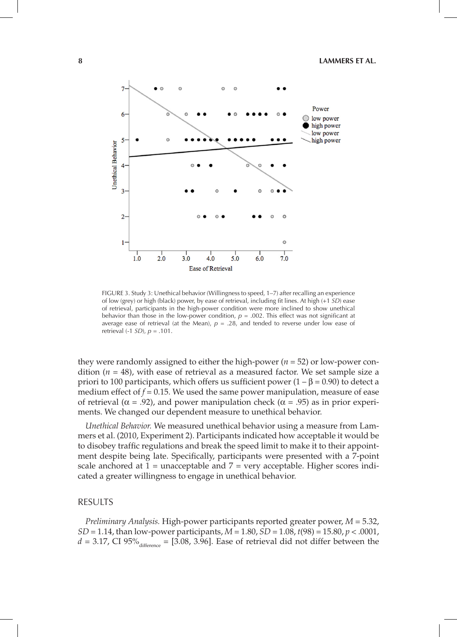

FIGURE 3. Study 3: Unethical behavior (Willingness to speed, 1–7) after recalling an experience of low (grey) or high (black) power, by ease of retrieval, including fit lines. At high (+1 *SD*) ease of retrieval, participants in the high-power condition were more inclined to show unethical behavior than those in the low-power condition, *p =* .002. This effect was not significant at average ease of retrieval (at the Mean),  $p = .28$ , and tended to reverse under low ease of retrieval (-1 *SD*), *p =* .101.

they were randomly assigned to either the high-power (*n* = 52) or low-power condition  $(n = 48)$ , with ease of retrieval as a measured factor. We set sample size a priori to 100 participants, which offers us sufficient power  $(1 - \beta = 0.90)$  to detect a medium effect of  $f = 0.15$ . We used the same power manipulation, measure of ease of retrieval ( $α = .92$ ), and power manipulation check ( $α = .95$ ) as in prior experiments. We changed our dependent measure to unethical behavior.

*Unethical Behavior.* We measured unethical behavior using a measure from Lammers et al. (2010, Experiment 2). Participants indicated how acceptable it would be to disobey traffic regulations and break the speed limit to make it to their appointment despite being late. Specifically, participants were presented with a 7-point scale anchored at 1 = unacceptable and 7 = very acceptable. Higher scores indicated a greater willingness to engage in unethical behavior.

#### RESULTS

*Preliminary Analysis.* High-power participants reported greater power, *M =* 5.32, *SD =* 1.14, than low-power participants, *M =* 1.80, *SD =* 1.08, *t*(98) = 15.80, *p <* .0001,  $d = 3.17$ , CI 95% $d_{\text{difference}} = [3.08, 3.96]$ . Ease of retrieval did not differ between the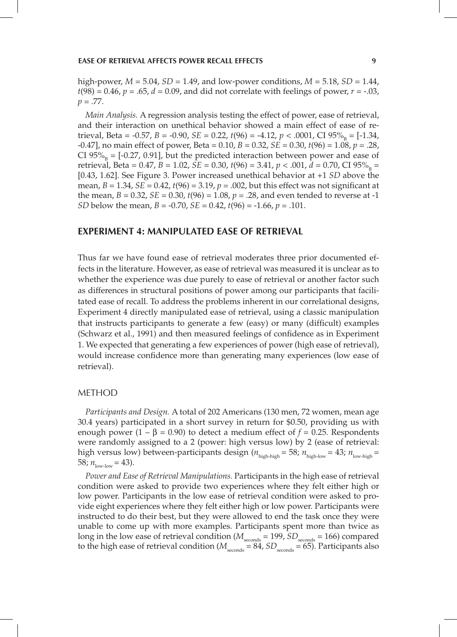high-power, *M* = 5.04, *SD* = 1.49, and low-power conditions, *M* = 5.18, *SD* = 1.44, *t*(98) = 0.46, *p =* .65, *d* = 0.09, and did not correlate with feelings of power, *r* = -.03, *p =* .77.

*Main Analysis.* A regression analysis testing the effect of power, ease of retrieval, and their interaction on unethical behavior showed a main effect of ease of retrieval, Beta = -0.57, *B* = -0.90, *SE* = 0.22, *t*(96) = -4.12, *p* < .0001, CI 95%<sub>R</sub> = [-1.34, -0.47], no main effect of power, Beta = 0.10, *B* = 0.32, *SE* = 0.30, *t*(96) = 1.08, *p =* .28, CI 95% $_{\rm B}$  = [-0.27, 0.91], but the predicted interaction between power and ease of retrieval, Beta = 0.47, *B* = 1.02, *SE* = 0.30, *t*(96) = 3.41, *p* < .001, *d* = 0.70, CI 95%<sub>R</sub> = [0.43, 1.62]. See Figure 3. Power increased unethical behavior at +1 *SD* above the mean,  $B = 1.34$ ,  $SE = 0.42$ ,  $t(96) = 3.19$ ,  $p = .002$ , but this effect was not significant at the mean,  $B = 0.32$ ,  $SE = 0.30$ ,  $t(96) = 1.08$ ,  $p = .28$ , and even tended to reverse at -1 *SD* below the mean, *B* = -0.70, *SE* = 0.42, *t*(96) = -1.66, *p =* .101.

## **EXPERIMENT 4: MANIPULATED EASE OF RETRIEVAL**

Thus far we have found ease of retrieval moderates three prior documented effects in the literature. However, as ease of retrieval was measured it is unclear as to whether the experience was due purely to ease of retrieval or another factor such as differences in structural positions of power among our participants that facilitated ease of recall. To address the problems inherent in our correlational designs, Experiment 4 directly manipulated ease of retrieval, using a classic manipulation that instructs participants to generate a few (easy) or many (difficult) examples (Schwarz et al., 1991) and then measured feelings of confidence as in Experiment 1. We expected that generating a few experiences of power (high ease of retrieval), would increase confidence more than generating many experiences (low ease of retrieval).

#### METHOD

*Participants and Design.* A total of 202 Americans (130 men, 72 women, mean age 30.4 years) participated in a short survey in return for \$0.50, providing us with enough power  $(1 - \beta = 0.90)$  to detect a medium effect of  $f = 0.25$ . Respondents were randomly assigned to a 2 (power: high versus low) by 2 (ease of retrieval: high versus low) between-participants design ( $n_{\rm high\text{-}high}$  = 58;  $n_{\rm high\text{-}low}$  = 43;  $n_{\rm low\text{-}high}$  = 58;  $n_{\text{low-low}} = 43$ ).

*Power and Ease of Retrieval Manipulations.* Participants in the high ease of retrieval condition were asked to provide two experiences where they felt either high or low power. Participants in the low ease of retrieval condition were asked to provide eight experiences where they felt either high or low power. Participants were instructed to do their best, but they were allowed to end the task once they were unable to come up with more examples. Participants spent more than twice as long in the low ease of retrieval condition ( $M_{\text{seconds}} = 199$ ,  $SD_{\text{seconds}} = 166$ ) compared to the high ease of retrieval condition ( $M_{\text{seconds}} = 84$ ,  $SD_{\text{seconds}} = 65$ ). Participants also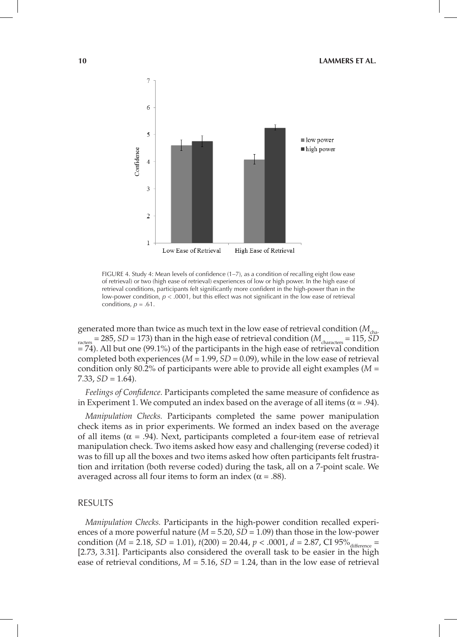

FIGURE 4. Study 4: Mean levels of confidence (1–7), as a condition of recalling eight (low ease of retrieval) or two (high ease of retrieval) experiences of low or high power. In the high ease of retrieval conditions, participants felt significantly more confident in the high-power than in the low-power condition, *p* < .0001, but this effect was not significant in the low ease of retrieval conditions,  $p = .61$ .

generated more than twice as much text in the low ease of retrieval condition (M<sub>c</sub>  $r_{\text{ractors}}$  = 285, *SD* = 173) than in the high ease of retrieval condition ( $M_{\text{characters}}$  = 115, *SD* = 74). All but one (99.1%) of the participants in the high ease of retrieval condition completed both experiences  $(M = 1.99, SD = 0.09)$ , while in the low ease of retrieval condition only 80.2% of participants were able to provide all eight examples (*M* =  $7.33, SD = 1.64$ .

*Feelings of Confidence.* Participants completed the same measure of confidence as in Experiment 1. We computed an index based on the average of all items ( $\alpha$  = .94).

*Manipulation Checks.* Participants completed the same power manipulation check items as in prior experiments. We formed an index based on the average of all items ( $\alpha$  = .94). Next, participants completed a four-item ease of retrieval manipulation check. Two items asked how easy and challenging (reverse coded) it was to fill up all the boxes and two items asked how often participants felt frustration and irritation (both reverse coded) during the task, all on a 7-point scale. We averaged across all four items to form an index ( $\alpha = .88$ ).

## RESULTS

*Manipulation Checks.* Participants in the high-power condition recalled experiences of a more powerful nature (*M =* 5.20, *SD =* 1.09) than those in the low-power condition ( $M = 2.18$ ,  $SD = 1.01$ ),  $t(200) = 20.44$ ,  $p < .0001$ ,  $d = 2.87$ , CI 95% difference = [2.73, 3.31]. Participants also considered the overall task to be easier in the high ease of retrieval conditions, *M =* 5.16, *SD =* 1.24, than in the low ease of retrieval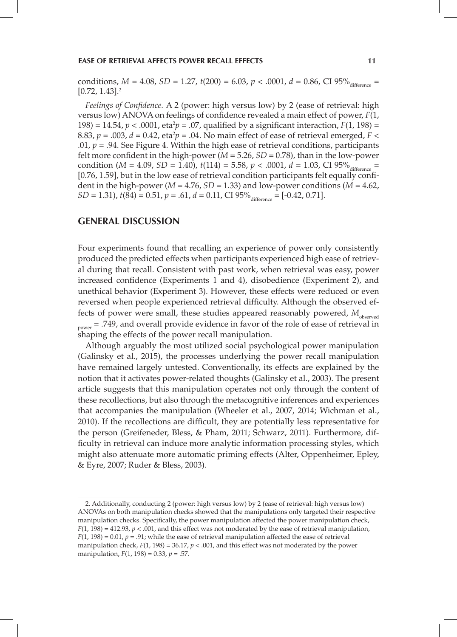conditions,  $M = 4.08$ ,  $SD = 1.27$ ,  $t(200) = 6.03$ ,  $p < .0001$ ,  $d = 0.86$ , CI 95% difference =  $[0.72, 1.43]$ <sup>2</sup>

*Feelings of Confidence.* A 2 (power: high versus low) by 2 (ease of retrieval: high versus low) ANOVA on feelings of confidence revealed a main effect of power, *F*(1, 198) = 14.54,  $p < .0001$ , eta<sup>2</sup> $p = .07$ , qualified by a significant interaction,  $F(1, 198) =$ 8.83,  $p = .003$ ,  $d = 0.42$ , eta<sup>2</sup> $p = .04$ . No main effect of ease of retrieval emerged,  $F <$ .01, *p =* .94. See Figure 4. Within the high ease of retrieval conditions, participants felt more confident in the high-power (*M* = 5.26, *SD* = 0.78), than in the low-power condition ( $M = 4.09$ ,  $SD = 1.40$ ),  $t(114) = 5.58$ ,  $p < .0001$ ,  $d = 1.03$ , CI 95% difference [0.76, 1.59], but in the low ease of retrieval condition participants felt equally confident in the high-power (*M* = 4.76, *SD* = 1.33) and low-power conditions (*M* = 4.62, *SD* = 1.31),  $t(84)$  = 0.51,  $p = .61$ ,  $d = 0.11$ , CI 95% $_{difference} = [-0.42, 0.71]$ .

## **GENERAL DISCUSSION**

Four experiments found that recalling an experience of power only consistently produced the predicted effects when participants experienced high ease of retrieval during that recall. Consistent with past work, when retrieval was easy, power increased confidence (Experiments 1 and 4), disobedience (Experiment 2), and unethical behavior (Experiment 3). However, these effects were reduced or even reversed when people experienced retrieval difficulty. Although the observed effects of power were small, these studies appeared reasonably powered,  $M_{observed}$  $_{power}$  = .749, and overall provide evidence in favor of the role of ease of retrieval in shaping the effects of the power recall manipulation.

Although arguably the most utilized social psychological power manipulation (Galinsky et al., 2015), the processes underlying the power recall manipulation have remained largely untested. Conventionally, its effects are explained by the notion that it activates power-related thoughts (Galinsky et al., 2003). The present article suggests that this manipulation operates not only through the content of these recollections, but also through the metacognitive inferences and experiences that accompanies the manipulation (Wheeler et al., 2007, 2014; Wichman et al., 2010). If the recollections are difficult, they are potentially less representative for the person (Greifeneder, Bless, & Pham, 2011; Schwarz, 2011). Furthermore, difficulty in retrieval can induce more analytic information processing styles, which might also attenuate more automatic priming effects (Alter, Oppenheimer, Epley, & Eyre, 2007; Ruder & Bless, 2003).

<sup>2.</sup> Additionally, conducting 2 (power: high versus low) by 2 (ease of retrieval: high versus low) ANOVAs on both manipulation checks showed that the manipulations only targeted their respective manipulation checks. Specifically, the power manipulation affected the power manipulation check,  $F(1, 198) = 412.93$ ,  $p < .001$ , and this effect was not moderated by the ease of retrieval manipulation,  $F(1, 198) = 0.01$ ,  $p = .91$ ; while the ease of retrieval manipulation affected the ease of retrieval manipulation check,  $F(1, 198) = 36.17$ ,  $p < .001$ , and this effect was not moderated by the power manipulation, *F*(1, 198) = 0.33, *p =* .57.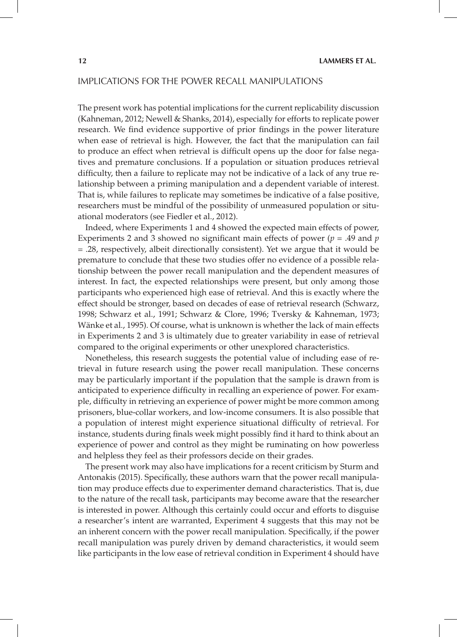## IMPLICATIONS FOR THE POWER RECALL MANIPULATIONS

The present work has potential implications for the current replicability discussion (Kahneman, 2012; Newell & Shanks, 2014), especially for efforts to replicate power research. We find evidence supportive of prior findings in the power literature when ease of retrieval is high. However, the fact that the manipulation can fail to produce an effect when retrieval is difficult opens up the door for false negatives and premature conclusions. If a population or situation produces retrieval difficulty, then a failure to replicate may not be indicative of a lack of any true relationship between a priming manipulation and a dependent variable of interest. That is, while failures to replicate may sometimes be indicative of a false positive, researchers must be mindful of the possibility of unmeasured population or situational moderators (see Fiedler et al., 2012).

Indeed, where Experiments 1 and 4 showed the expected main effects of power, Experiments 2 and 3 showed no significant main effects of power (*p =* .49 and *p =* .28, respectively, albeit directionally consistent). Yet we argue that it would be premature to conclude that these two studies offer no evidence of a possible relationship between the power recall manipulation and the dependent measures of interest. In fact, the expected relationships were present, but only among those participants who experienced high ease of retrieval. And this is exactly where the effect should be stronger, based on decades of ease of retrieval research (Schwarz, 1998; Schwarz et al., 1991; Schwarz & Clore, 1996; Tversky & Kahneman, 1973; Wänke et al., 1995). Of course, what is unknown is whether the lack of main effects in Experiments 2 and 3 is ultimately due to greater variability in ease of retrieval compared to the original experiments or other unexplored characteristics.

Nonetheless, this research suggests the potential value of including ease of retrieval in future research using the power recall manipulation. These concerns may be particularly important if the population that the sample is drawn from is anticipated to experience difficulty in recalling an experience of power. For example, difficulty in retrieving an experience of power might be more common among prisoners, blue-collar workers, and low-income consumers. It is also possible that a population of interest might experience situational difficulty of retrieval. For instance, students during finals week might possibly find it hard to think about an experience of power and control as they might be ruminating on how powerless and helpless they feel as their professors decide on their grades.

The present work may also have implications for a recent criticism by Sturm and Antonakis (2015). Specifically, these authors warn that the power recall manipulation may produce effects due to experimenter demand characteristics. That is, due to the nature of the recall task, participants may become aware that the researcher is interested in power. Although this certainly could occur and efforts to disguise a researcher's intent are warranted, Experiment 4 suggests that this may not be an inherent concern with the power recall manipulation. Specifically, if the power recall manipulation was purely driven by demand characteristics, it would seem like participants in the low ease of retrieval condition in Experiment 4 should have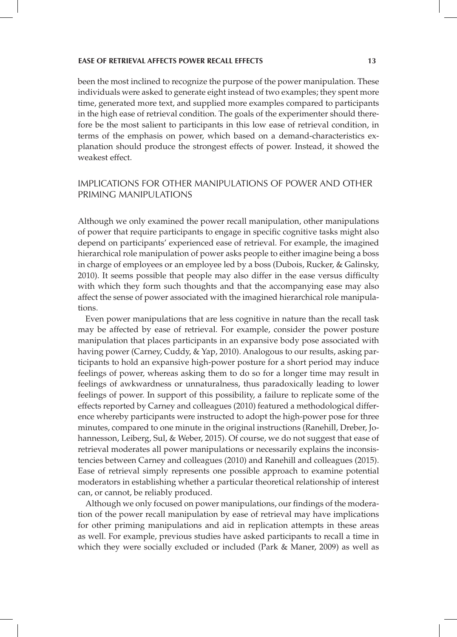been the most inclined to recognize the purpose of the power manipulation. These individuals were asked to generate eight instead of two examples; they spent more time, generated more text, and supplied more examples compared to participants in the high ease of retrieval condition. The goals of the experimenter should therefore be the most salient to participants in this low ease of retrieval condition, in terms of the emphasis on power, which based on a demand-characteristics explanation should produce the strongest effects of power. Instead, it showed the weakest effect.

## IMPLICATIONS FOR OTHER MANIPULATIONS OF POWER AND OTHER PRIMING MANIPULATIONS

Although we only examined the power recall manipulation, other manipulations of power that require participants to engage in specific cognitive tasks might also depend on participants' experienced ease of retrieval. For example, the imagined hierarchical role manipulation of power asks people to either imagine being a boss in charge of employees or an employee led by a boss (Dubois, Rucker, & Galinsky, 2010). It seems possible that people may also differ in the ease versus difficulty with which they form such thoughts and that the accompanying ease may also affect the sense of power associated with the imagined hierarchical role manipulations.

Even power manipulations that are less cognitive in nature than the recall task may be affected by ease of retrieval. For example, consider the power posture manipulation that places participants in an expansive body pose associated with having power (Carney, Cuddy, & Yap, 2010). Analogous to our results, asking participants to hold an expansive high-power posture for a short period may induce feelings of power, whereas asking them to do so for a longer time may result in feelings of awkwardness or unnaturalness, thus paradoxically leading to lower feelings of power. In support of this possibility, a failure to replicate some of the effects reported by Carney and colleagues (2010) featured a methodological difference whereby participants were instructed to adopt the high-power pose for three minutes, compared to one minute in the original instructions (Ranehill, Dreber, Johannesson, Leiberg, Sul, & Weber, 2015). Of course, we do not suggest that ease of retrieval moderates all power manipulations or necessarily explains the inconsistencies between Carney and colleagues (2010) and Ranehill and colleagues (2015). Ease of retrieval simply represents one possible approach to examine potential moderators in establishing whether a particular theoretical relationship of interest can, or cannot, be reliably produced.

Although we only focused on power manipulations, our findings of the moderation of the power recall manipulation by ease of retrieval may have implications for other priming manipulations and aid in replication attempts in these areas as well. For example, previous studies have asked participants to recall a time in which they were socially excluded or included (Park & Maner, 2009) as well as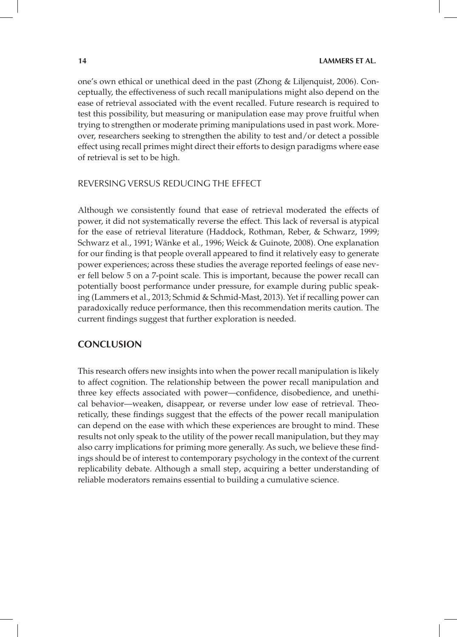one's own ethical or unethical deed in the past (Zhong & Liljenquist, 2006). Conceptually, the effectiveness of such recall manipulations might also depend on the ease of retrieval associated with the event recalled. Future research is required to test this possibility, but measuring or manipulation ease may prove fruitful when trying to strengthen or moderate priming manipulations used in past work. Moreover, researchers seeking to strengthen the ability to test and/or detect a possible effect using recall primes might direct their efforts to design paradigms where ease of retrieval is set to be high.

## REVERSING VERSUS REDUCING THE EFFECT

Although we consistently found that ease of retrieval moderated the effects of power, it did not systematically reverse the effect. This lack of reversal is atypical for the ease of retrieval literature (Haddock, Rothman, Reber, & Schwarz, 1999; Schwarz et al., 1991; Wänke et al., 1996; Weick & Guinote, 2008). One explanation for our finding is that people overall appeared to find it relatively easy to generate power experiences; across these studies the average reported feelings of ease never fell below 5 on a 7-point scale. This is important, because the power recall can potentially boost performance under pressure, for example during public speaking (Lammers et al., 2013; Schmid & Schmid-Mast, 2013). Yet if recalling power can paradoxically reduce performance, then this recommendation merits caution. The current findings suggest that further exploration is needed.

## **CONCLUSION**

This research offers new insights into when the power recall manipulation is likely to affect cognition. The relationship between the power recall manipulation and three key effects associated with power—confidence, disobedience, and unethical behavior—weaken, disappear, or reverse under low ease of retrieval. Theoretically, these findings suggest that the effects of the power recall manipulation can depend on the ease with which these experiences are brought to mind. These results not only speak to the utility of the power recall manipulation, but they may also carry implications for priming more generally. As such, we believe these findings should be of interest to contemporary psychology in the context of the current replicability debate. Although a small step, acquiring a better understanding of reliable moderators remains essential to building a cumulative science.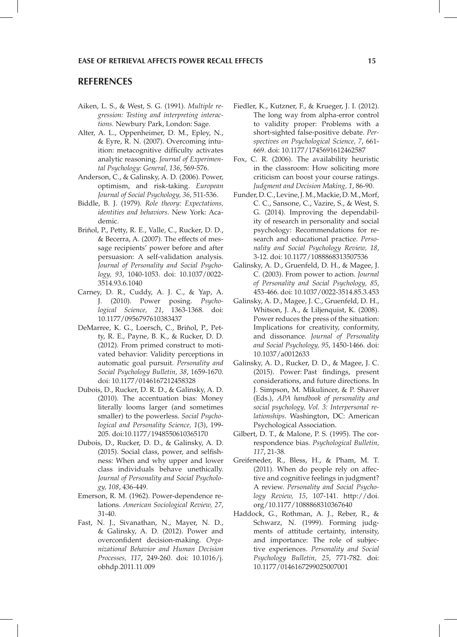## **REFERENCES**

- Aiken, L. S., & West, S. G. (1991). *Multiple regression: Testing and interpreting interactions.* Newbury Park, London: Sage.
- Alter, A. L., Oppenheimer, D. M., Epley, N., & Eyre, R. N. (2007). Overcoming intuition: metacognitive difficulty activates analytic reasoning. *Journal of Experimental Psychology: General, 136*, 569-576.
- Anderson, C., & Galinsky, A. D. (2006). Power, optimism, and risk-taking. *European Journal of Social Psychology, 36*, 511-536.
- Biddle, B. J. (1979). *Role theory: Expectations, identities and behaviors*. New York: Academic.
- Briñol, P., Petty, R. E., Valle, C., Rucker, D. D., & Becerra, A. (2007). The effects of message recipients' power before and after persuasion: A self-validation analysis. *Journal of Personality and Social Psychology, 93*, 1040-1053. doi: 10.1037/0022- 3514.93.6.1040
- Carney, D. R., Cuddy, A. J. C., & Yap, A. J. (2010). Power posing. *Psychological Science, 21*, 1363-1368. doi: 10.1177/0956797610383437
- DeMarree, K. G., Loersch, C., Briñol, P., Petty, R. E., Payne, B. K., & Rucker, D. D. (2012). From primed construct to motivated behavior: Validity perceptions in automatic goal pursuit. *Personality and Social Psychology Bulletin, 38*, 1659-1670. doi: 10.1177/0146167212458328
- Dubois, D., Rucker, D. R. D., & Galinsky, A. D. (2010). The accentuation bias: Money literally looms larger (and sometimes smaller) to the powerless. *Social Psychological and Personality Science, 1*(3), 199- 205. doi:10.1177/1948550610365170
- Dubois, D., Rucker, D. D., & Galinsky, A. D. (2015). Social class, power, and selfishness: When and why upper and lower class individuals behave unethically. *Journal of Personality and Social Psychology, 108*, 436-449.
- Emerson, R. M. (1962). Power-dependence relations. *American Sociological Review, 27*, 31-40.
- Fast, N. J., Sivanathan, N., Mayer, N. D., & Galinsky, A. D. (2012). Power and overconfident decision-making. *Organizational Behavior and Human Decision Processes, 117*, 249-260. doi: 10.1016/j. obhdp.2011.11.009
- Fiedler, K., Kutzner, F., & Krueger, J. I. (2012). The long way from alpha-error control to validity proper: Problems with a short-sighted false-positive debate. *Perspectives on Psychological Science, 7*, 661- 669. doi: 10.1177/1745691612462587
- Fox, C. R. (2006). The availability heuristic in the classroom: How soliciting more criticism can boost your course ratings. *Judgment and Decision Making, 1*, 86-90.
- Funder, D. C., Levine, J. M., Mackie, D. M., Morf, C. C., Sansone, C., Vazire, S., & West, S. G. (2014). Improving the dependability of research in personality and social psychology: Recommendations for research and educational practice. *Personality and Social Psychology Review, 18*, 3-12. doi: 10.1177/1088868313507536
- Galinsky, A. D., Gruenfeld, D. H., & Magee, J. C. (2003). From power to action. *Journal of Personality and Social Psychology, 85*, 453-466. doi: 10.1037/0022-3514.85.3.453
- Galinsky, A. D., Magee, J. C., Gruenfeld, D. H., Whitson, J. A., & Liljenquist, K. (2008). Power reduces the press of the situation: Implications for creativity, conformity, and dissonance. *Journal of Personality and Social Psychology, 95*, 1450-1466. doi: 10.1037/a0012633
- Galinsky, A. D., Rucker, D. D., & Magee, J. C. (2015). Power: Past findings, present considerations, and future directions. In J. Simpson, M. Mikulincer, & P. Shaver (Eds.), *APA handbook of personality and social psychology, Vol. 3: Interpersonal relationships*. Washington, DC: American Psychological Association.
- Gilbert, D. T., & Malone, P. S. (1995). The correspondence bias. *Psychological Bulletin, 117*, 21-38.
- Greifeneder, R., Bless, H., & Pham, M. T. (2011). When do people rely on affective and cognitive feelings in judgment? A review. *Personality and Social Psychology Review, 15*, 107-141. http://doi. org/10.1177/1088868310367640
- Haddock, G., Rothman, A. J., Reber, R., & Schwarz, N. (1999). Forming judgments of attitude certainty, intensity, and importance: The role of subjective experiences. *Personality and Social Psychology Bulletin, 25*, 771-782. doi: 10.1177/0146167299025007001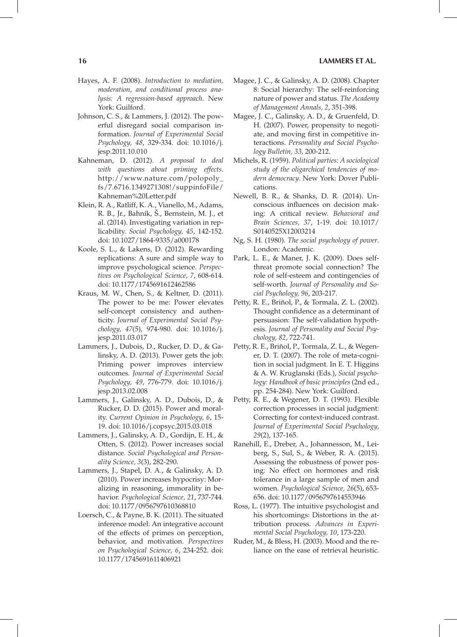- Hayes, A. F. (2008). *Introduction to mediation, moderation, and conditional process analysis: A regression-based approach*. New York: Guilford.
- Johnson, C. S., & Lammers, J. (2012). The powerful disregard social comparison information. *Journal of Experimental Social Psychology, 48*, 329-334. doi: 10.1016/j. jesp.2011.10.010
- Kahneman, D. (2012). *A proposal to deal with questions about priming effects*. http://www.nature.com/polopoly\_ fs/7.6716.1349271308!/suppinfoFile/ Kahneman%20Letter.pdf
- Klein, R. A., Ratliff, K. A., Vianello, M., Adams, R. B., Jr., Bahník, Š., Bernstein, M. J., et al. (2014). Investigating variation in replicability. *Social Psychology, 45*, 142-152. doi: 10.1027/1864-9335/a000178
- Koole, S. L., & Lakens, D. (2012). Rewarding replications: A sure and simple way to improve psychological science. *Perspectives on Psychological Science, 7*, 608-614. doi: 10.1177/1745691612462586
- Kraus, M. W., Chen, S., & Keltner, D. (2011). The power to be me: Power elevates self-concept consistency and authenticity. *Journal of Experimental Social Psychology, 47*(5), 974-980. doi: 10.1016/j. jesp.2011.03.017
- Lammers, J., Dubois, D., Rucker, D. D., & Galinsky, A. D. (2013). Power gets the job: Priming power improves interview outcomes. *Journal of Experimental Social Psychology, 49*, 776-779. doi: 10.1016/j. jesp.2013.02.008
- Lammers, J., Galinsky, A. D., Dubois, D., & Rucker, D. D. (2015). Power and morality. *Current Opinion in Psychology, 6*, 15- 19. doi: 10.1016/j.copsyc.2015.03.018
- Lammers, J., Galinsky, A. D., Gordijn, E. H., & Otten, S. (2012). Power increases social distance. *Social Psychological and Personality Science, 3*(3), 282-290.
- Lammers, J., Stapel, D. A., & Galinsky, A. D. (2010). Power increases hypocrisy: Moralizing in reasoning, immorality in behavior. *Psychological Science, 21*, 737-744. doi: 10.1177/0956797610368810
- Loersch, C., & Payne, B. K. (2011). The situated inference model: An integrative account of the effects of primes on perception, behavior, and motivation. *Perspectives on Psychological Science, 6*, 234-252. doi: 10.1177/1745691611406921
- Magee, J. C., & Galinsky, A. D. (2008). Chapter 8: Social hierarchy: The self-reinforcing nature of power and status. *The Academy of Management Annals, 2*, 351-398.
- Magee, J. C., Galinsky, A. D., & Gruenfeld, D. H. (2007). Power, propensity to negotiate, and moving first in competitive interactions. *Personality and Social Psychology Bulletin, 33*, 200-212.
- Michels, R. (1959). *Political parties: A sociological study of the oligarchical tendencies of modern democracy*. New York: Dover Publications.
- Newell, B. R., & Shanks, D. R. (2014). Unconscious influences on decision making: A critical review. *Behavioral and Brain Sciences, 37*, 1-19. doi: 10.1017/ S0140525X12003214
- Ng, S. H. (1980). *The social psychology of power*. London: Academic.
- Park, L. E., & Maner, J. K. (2009). Does selfthreat promote social connection? The role of self-esteem and contingencies of self-worth. *Journal of Personality and Social Psychology, 96*, 203-217.
- Petty, R. E., Briñol, P., & Tormala, Z. L. (2002). Thought confidence as a determinant of persuasion: The self-validation hypothesis. *Journal of Personality and Social Psychology, 82*, 722-741.
- Petty, R. E., Briñol, P., Tormala, Z. L., & Wegener, D. T. (2007). The role of meta-cognition in social judgment. In E. T. Higgins & A. W. Kruglanski (Eds.), *Social psychology: Handbook of basic principles* (2nd ed., pp. 254-284). New York: Guilford.
- Petty, R. E., & Wegener, D. T. (1993). Flexible correction processes in social judgment: Correcting for context-induced contrast. *Journal of Experimental Social Psychology, 29*(2), 137-165.
- Ranehill, E., Dreber, A., Johannesson, M., Leiberg, S., Sul, S., & Weber, R. A. (2015). Assessing the robustness of power posing: No effect on hormones and risk tolerance in a large sample of men and women. *Psychological Science, 26*(5), 653- 656. doi: 10.1177/0956797614553946
- Ross, L. (1977). The intuitive psychologist and his shortcomings: Distortions in the attribution process. *Advances in Experimental Social Psychology, 10*, 173-220.
- Ruder, M., & Bless, H. (2003). Mood and the reliance on the ease of retrieval heuristic.